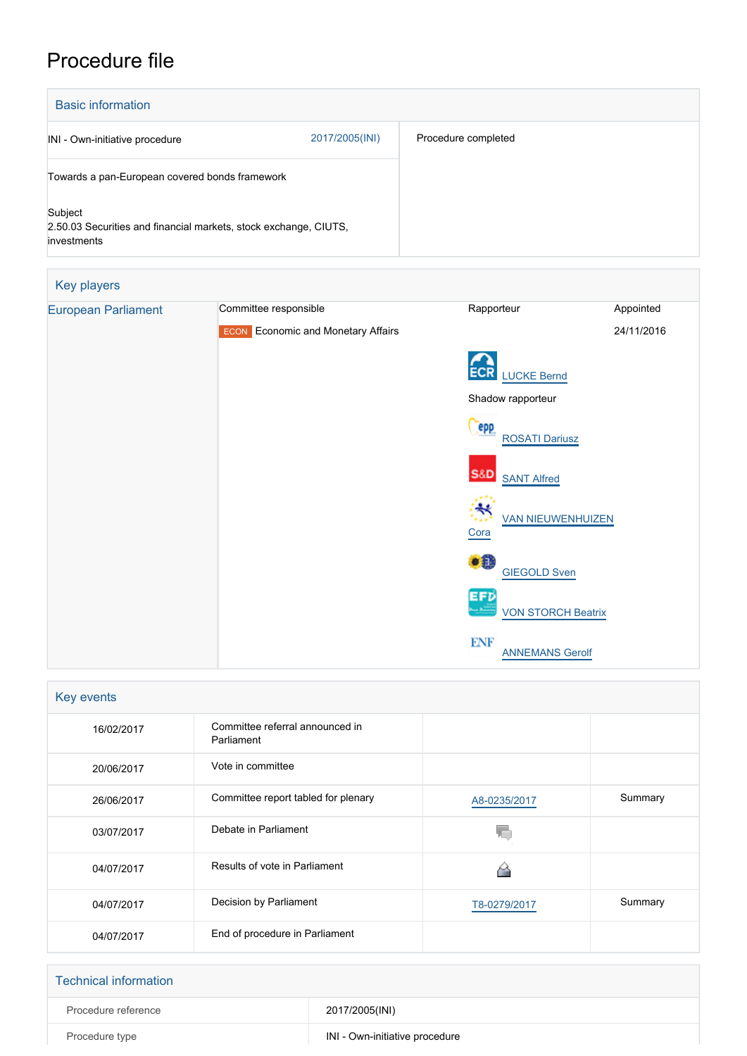## Procedure file

| <b>Basic information</b>                                                                   |                |                     |
|--------------------------------------------------------------------------------------------|----------------|---------------------|
| INI - Own-initiative procedure                                                             | 2017/2005(INI) | Procedure completed |
| Towards a pan-European covered bonds framework                                             |                |                     |
| Subject<br>2.50.03 Securities and financial markets, stock exchange, CIUTS,<br>investments |                |                     |

| Key players                |                                           |                                      |            |
|----------------------------|-------------------------------------------|--------------------------------------|------------|
| <b>European Parliament</b> | Committee responsible                     | Rapporteur                           | Appointed  |
|                            | <b>ECON</b> Economic and Monetary Affairs |                                      | 24/11/2016 |
|                            |                                           | <b>ECR</b>                           |            |
|                            |                                           | <b>LUCKE Bernd</b>                   |            |
|                            |                                           | Shadow rapporteur                    |            |
|                            |                                           | epp<br><b>ROSATI Dariusz</b>         |            |
|                            |                                           | <b>S&amp;D</b><br><b>SANT Alfred</b> |            |
|                            |                                           | ₩<br><b>VAN NIEUWENHUIZEN</b>        |            |
|                            |                                           | Cora                                 |            |
|                            |                                           | ● 3<br><b>GIEGOLD Sven</b>           |            |
|                            |                                           | EFD<br><b>VON STORCH Beatrix</b>     |            |
|                            |                                           | <b>ENF</b><br><b>ANNEMANS Gerolf</b> |            |

| Key events |                                               |              |         |
|------------|-----------------------------------------------|--------------|---------|
| 16/02/2017 | Committee referral announced in<br>Parliament |              |         |
| 20/06/2017 | Vote in committee                             |              |         |
| 26/06/2017 | Committee report tabled for plenary           | A8-0235/2017 | Summary |
| 03/07/2017 | Debate in Parliament                          |              |         |
| 04/07/2017 | Results of vote in Parliament                 |              |         |
| 04/07/2017 | Decision by Parliament                        | T8-0279/2017 | Summary |
| 04/07/2017 | End of procedure in Parliament                |              |         |

| <b>Technical information</b> |                                |
|------------------------------|--------------------------------|
| Procedure reference          | 2017/2005(INI)                 |
| Procedure type               | INI - Own-initiative procedure |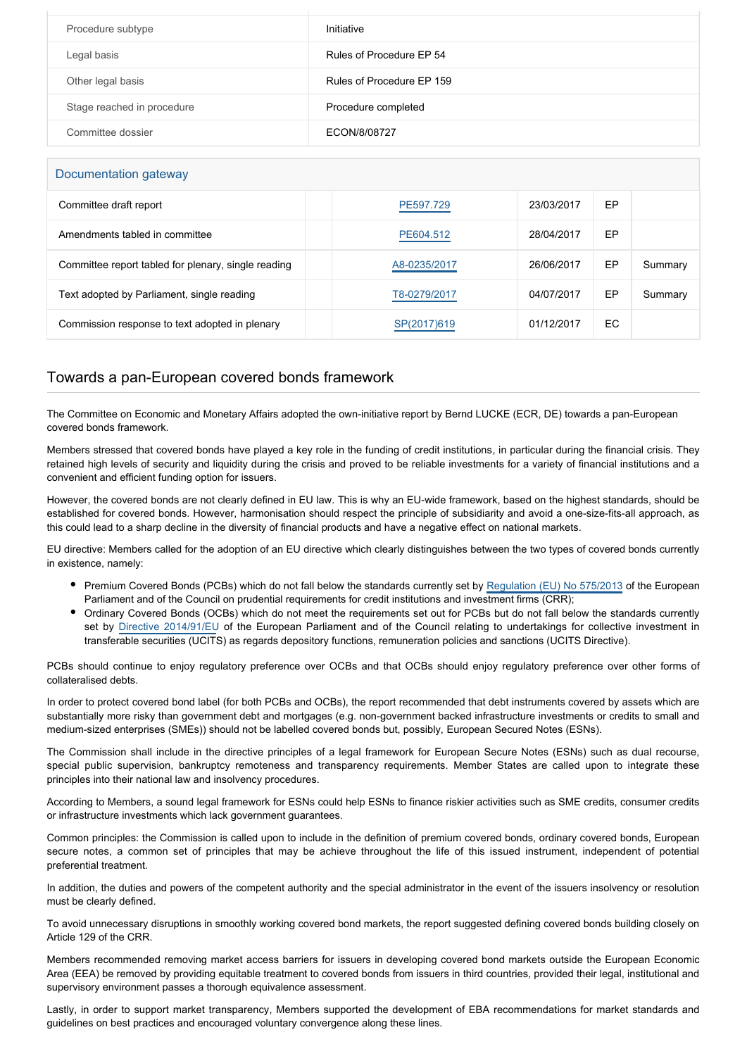| Procedure subtype          | Initiative                |
|----------------------------|---------------------------|
| Legal basis                | Rules of Procedure EP 54  |
| Other legal basis          | Rules of Procedure EP 159 |
| Stage reached in procedure | Procedure completed       |
| Committee dossier          | ECON/8/08727              |

## Documentation gateway

| Committee draft report                              | PE597.729    | 23/03/2017 | EP |         |
|-----------------------------------------------------|--------------|------------|----|---------|
| Amendments tabled in committee                      | PE604.512    | 28/04/2017 | EP |         |
| Committee report tabled for plenary, single reading | A8-0235/2017 | 26/06/2017 | EP | Summary |
| Text adopted by Parliament, single reading          | T8-0279/2017 | 04/07/2017 | EP | Summary |
| Commission response to text adopted in plenary      | SP(2017)619  | 01/12/2017 | EC |         |

## Towards a pan-European covered bonds framework

The Committee on Economic and Monetary Affairs adopted the own-initiative report by Bernd LUCKE (ECR, DE) towards a pan-European covered bonds framework.

Members stressed that covered bonds have played a key role in the funding of credit institutions, in particular during the financial crisis. They retained high levels of security and liquidity during the crisis and proved to be reliable investments for a variety of financial institutions and a convenient and efficient funding option for issuers.

However, the covered bonds are not clearly defined in EU law. This is why an EU-wide framework, based on the highest standards, should be established for covered bonds. However, harmonisation should respect the principle of subsidiarity and avoid a one-size-fits-all approach, as this could lead to a sharp decline in the diversity of financial products and have a negative effect on national markets.

EU directive: Members called for the adoption of an EU directive which clearly distinguishes between the two types of covered bonds currently in existence, namely:

- Premium Covered Bonds (PCBs) which do not fall below the standards currently set by [Regulation \(EU\) No 575/2013](http://www.europarl.europa.eu/oeil/popups/ficheprocedure.do?reference=2011/0202(COD)&l=en) of the European Parliament and of the Council on prudential requirements for credit institutions and investment firms (CRR);
- Ordinary Covered Bonds (OCBs) which do not meet the requirements set out for PCBs but do not fall below the standards currently set by [Directive 2014/91/EU](http://www.europarl.europa.eu/oeil/popups/ficheprocedure.do?reference=2012/0168(COD)&l=en) of the European Parliament and of the Council relating to undertakings for collective investment in transferable securities (UCITS) as regards depository functions, remuneration policies and sanctions (UCITS Directive).

PCBs should continue to enjoy regulatory preference over OCBs and that OCBs should enjoy regulatory preference over other forms of collateralised debts.

In order to protect covered bond label (for both PCBs and OCBs), the report recommended that debt instruments covered by assets which are substantially more risky than government debt and mortgages (e.g. non-government backed infrastructure investments or credits to small and medium-sized enterprises (SMEs)) should not be labelled covered bonds but, possibly, European Secured Notes (ESNs).

The Commission shall include in the directive principles of a legal framework for European Secure Notes (ESNs) such as dual recourse, special public supervision, bankruptcy remoteness and transparency requirements. Member States are called upon to integrate these principles into their national law and insolvency procedures.

According to Members, a sound legal framework for ESNs could help ESNs to finance riskier activities such as SME credits, consumer credits or infrastructure investments which lack government guarantees.

Common principles: the Commission is called upon to include in the definition of premium covered bonds, ordinary covered bonds, European secure notes, a common set of principles that may be achieve throughout the life of this issued instrument, independent of potential preferential treatment.

In addition, the duties and powers of the competent authority and the special administrator in the event of the issuers insolvency or resolution must be clearly defined.

To avoid unnecessary disruptions in smoothly working covered bond markets, the report suggested defining covered bonds building closely on Article 129 of the CRR.

Members recommended removing market access barriers for issuers in developing covered bond markets outside the European Economic Area (EEA) be removed by providing equitable treatment to covered bonds from issuers in third countries, provided their legal, institutional and supervisory environment passes a thorough equivalence assessment.

Lastly, in order to support market transparency, Members supported the development of EBA recommendations for market standards and guidelines on best practices and encouraged voluntary convergence along these lines.